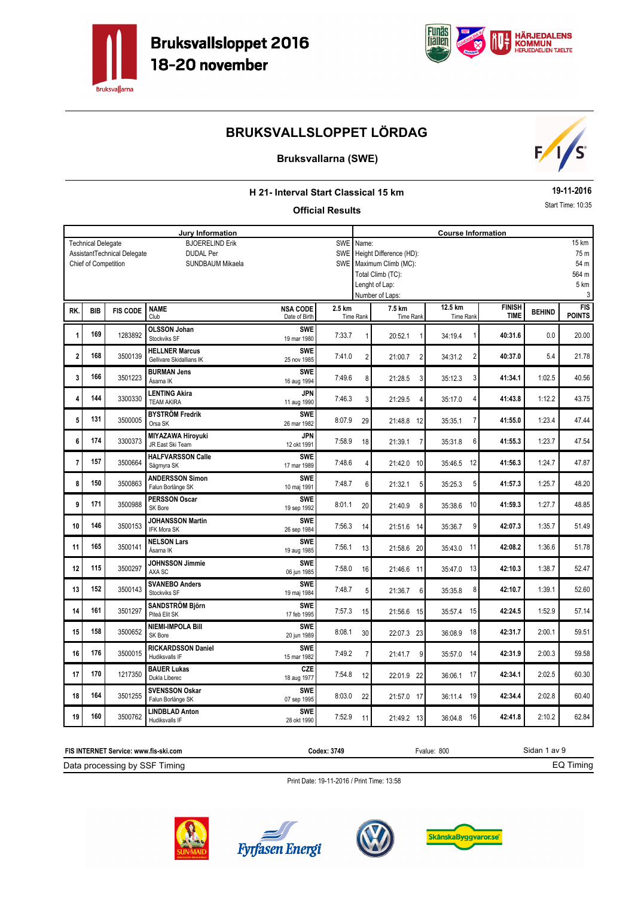



### **Bruksvallarna (SWE)**



### **H 21- Interval Start Classical 15 km**

#### **Official Results**

**19-11-2016**

Start Time: 10:35

|                |                           |                             | <b>Jury Information</b>                    |                           | <b>SWE</b> |                            |                         | <b>Course Information</b>          |               |               | 15 km         |  |  |
|----------------|---------------------------|-----------------------------|--------------------------------------------|---------------------------|------------|----------------------------|-------------------------|------------------------------------|---------------|---------------|---------------|--|--|
|                | <b>Technical Delegate</b> | AssistantTechnical Delegate | <b>BJOERELIND Erik</b><br><b>DUDAL Per</b> |                           | <b>SWE</b> | Name:                      | Height Difference (HD): |                                    |               |               | 75 m          |  |  |
|                |                           |                             |                                            |                           |            |                            |                         |                                    |               |               | 54 m          |  |  |
|                | Chief of Competition      |                             | <b>SUNDBAUM Mikaela</b>                    |                           |            |                            | SWE Maximum Climb (MC): |                                    |               |               |               |  |  |
|                |                           |                             |                                            |                           |            | Total Climb (TC):<br>564 m |                         |                                    |               |               |               |  |  |
|                |                           |                             |                                            |                           |            |                            | Lenght of Lap:          |                                    |               |               | 5 km          |  |  |
|                |                           |                             |                                            |                           |            |                            | Number of Laps:         |                                    |               |               | 3             |  |  |
| RK.            | <b>BIB</b>                | <b>FIS CODE</b>             | <b>NAME</b>                                | <b>NSA CODE</b>           | 2.5 km     |                            | 7.5 km                  | 12.5 km                            | <b>FINISH</b> | <b>BEHIND</b> | FIS           |  |  |
|                |                           |                             | Club                                       | Date of Birth             |            | Time Rank                  | Time Rank               | <b>Time Rank</b>                   | <b>TIME</b>   |               | <b>POINTS</b> |  |  |
|                | 169                       | 1283892                     | <b>OLSSON Johan</b>                        | <b>SWE</b>                |            |                            |                         |                                    |               | 0.0           |               |  |  |
| 1              |                           |                             | Stockviks SF                               | 19 mar 1980               | 7:33.7     | 1                          | 20:52.1<br>$\mathbf{1}$ | 34:19.4<br>1                       | 40:31.6       |               | 20.00         |  |  |
|                |                           |                             | <b>HELLNER Marcus</b>                      | <b>SWE</b>                |            |                            |                         |                                    |               |               |               |  |  |
| $\overline{2}$ | 168                       | 3500139                     | Gellivare Skidallians IK                   | 25 nov 1985               | 7:41.0     | $\sqrt{2}$                 | 21:00.7<br>2            | $\overline{\mathbf{c}}$<br>34:31.2 | 40:37.0       | 5.4           | 21.78         |  |  |
|                |                           |                             | <b>BURMAN Jens</b>                         | <b>SWE</b>                |            |                            |                         |                                    |               |               |               |  |  |
| 3              | 166                       | 3501223                     | Åsarna IK                                  | 16 aug 1994               | 7:49.6     | 8                          | 21:28.5<br>3            | 3<br>35:12.3                       | 41:34.1       | 1:02.5        | 40.56         |  |  |
|                |                           |                             | <b>LENTING Akira</b>                       | <b>JPN</b>                |            |                            |                         |                                    |               |               |               |  |  |
| 4              | 144                       | 3300330                     | <b>TEAM AKIRA</b>                          | 11 aug 1990               | 7:46.3     | 3                          | 21:29.5<br>4            | 4<br>35:17.0                       | 41:43.8       | 1:12.2        | 43.75         |  |  |
|                |                           |                             | <b>BYSTRÖM Fredrik</b>                     | <b>SWE</b>                |            |                            |                         |                                    |               |               |               |  |  |
| 5              | 131                       | 3500005                     | Orsa SK                                    | 26 mar 1982               | 8:07.9     | 29                         | 21:48.8 12              | 7<br>35:35.1                       | 41:55.0       | 1:23.4        | 47.44         |  |  |
|                |                           |                             | <b>MIYAZAWA Hiroyuki</b>                   | <b>JPN</b>                |            |                            |                         |                                    |               |               |               |  |  |
| 6              | 174                       | 3300373                     | JR East Ski Team                           | 12 okt 1991               | 7:58.9     | 18                         | 21:39.1<br>7            | 6<br>35:31.8                       | 41:55.3       | 1:23.7        | 47.54         |  |  |
|                |                           |                             | <b>HALFVARSSON Calle</b>                   | <b>SWE</b>                |            |                            |                         |                                    |               |               |               |  |  |
| $\overline{7}$ | 157                       | 3500664                     | Sågmyra SK                                 | 17 mar 1989               | 7:48.6     | 4                          | 21:42.0 10              | 12<br>35:46.5                      | 41:56.3       | 1:24.7        | 47.87         |  |  |
|                |                           |                             | <b>ANDERSSON Simon</b>                     | <b>SWE</b>                |            |                            |                         |                                    |               |               |               |  |  |
| 8              | 150                       | 3500863                     | Falun Borlänge SK                          | 10 maj 1991               | 7:48.7     | 6                          | 21:32.1<br>5            | 35:25.3<br>5                       | 41:57.3       | 1:25.7        | 48.20         |  |  |
|                |                           |                             |                                            |                           |            |                            |                         |                                    |               |               |               |  |  |
| 9              | 171                       | 3500988                     | <b>PERSSON Oscar</b><br>SK Bore            | <b>SWE</b><br>19 sep 1992 | 8:01.1     | 20                         | 21:40.9<br>8            | 10<br>35:38.6                      | 41:59.3       | 1:27.7        | 48.85         |  |  |
|                |                           |                             |                                            |                           |            |                            |                         |                                    |               |               |               |  |  |
| 10             | 146                       | 3500153                     | <b>JOHANSSON Martin</b><br>IFK Mora SK     | <b>SWE</b><br>26 sep 1984 | 7:56.3     | 14                         | 21:51.6 14              | 9<br>35:36.7                       | 42:07.3       | 1:35.7        | 51.49         |  |  |
|                |                           |                             |                                            |                           |            |                            |                         |                                    |               |               |               |  |  |
| 11             | 165                       | 3500141                     | <b>NELSON Lars</b><br>Åsarna IK            | <b>SWE</b>                | 7:56.1     | 13                         | 21:58.6 20              | 35:43.0<br>11                      | 42:08.2       | 1:36.6        | 51.78         |  |  |
|                |                           |                             |                                            | 19 aug 1985               |            |                            |                         |                                    |               |               |               |  |  |
| 12             | 115                       | 3500297                     | JOHNSSON Jimmie                            | <b>SWE</b>                | 7:58.0     | 16                         | 21:46.6 11              | 13<br>35:47.0                      | 42:10.3       | 1:38.7        | 52.47         |  |  |
|                |                           |                             | AXA SC                                     | 06 jun 1985               |            |                            |                         |                                    |               |               |               |  |  |
| 13             | 152                       | 3500143                     | <b>SVANEBO Anders</b>                      | <b>SWE</b>                | 7:48.7     | 5                          | 21:36.7<br>6            | 8<br>35:35.8                       | 42:10.7       | 1:39.1        | 52.60         |  |  |
|                |                           |                             | Stockviks SF                               | 19 maj 1984               |            |                            |                         |                                    |               |               |               |  |  |
| 14             | 161                       | 3501297                     | <b>SANDSTRÖM Björn</b>                     | <b>SWE</b>                | 7:57.3     | 15                         | 21:56.6 15              | 15<br>35:57.4                      | 42:24.5       | 1:52.9        | 57.14         |  |  |
|                |                           |                             | Piteå Elit SK                              | 17 feb 1995               |            |                            |                         |                                    |               |               |               |  |  |
| 15             | 158                       | 3500652                     | <b>NIEMI-IMPOLA Bill</b>                   | <b>SWE</b>                | 8:08.1     |                            |                         | 18                                 | 42:31.7       | 2:00.1        | 59.51         |  |  |
|                |                           |                             | SK Bore                                    | 20 jun 1989               |            | 30                         | 22:07.3 23              | 36:08.9                            |               |               |               |  |  |
|                | 176                       |                             | <b>RICKARDSSON Daniel</b>                  | <b>SWE</b>                |            |                            |                         |                                    |               |               |               |  |  |
| 16             |                           | 3500015                     | Hudiksvalls IF                             | 15 mar 1982               | 7:49.2     | $\overline{7}$             | 21:41.7<br>9            | 14<br>35:57.0                      | 42:31.9       | 2:00.3        | 59.58         |  |  |
|                |                           |                             | <b>BAUER Lukas</b>                         | CZE                       |            |                            |                         |                                    |               |               |               |  |  |
| 17             | 170                       | 1217350                     | Dukla Liberec                              | 18 aug 1977               | 7:54.8     | 12                         | 22:01.9 22              | 17<br>36:06.1                      | 42:34.1       | 2:02.5        | 60.30         |  |  |
|                |                           |                             | <b>SVENSSON Oskar</b>                      | <b>SWE</b>                |            |                            |                         |                                    |               |               |               |  |  |
| 18             | 164                       | 3501255                     | Falun Borlänge SK                          | 07 sep 1995               | 8:03.0     | 22                         | 21:57.0 17              | 19<br>36:11.4                      | 42:34.4       | 2:02.8        | 60.40         |  |  |
|                |                           |                             | <b>LINDBLAD Anton</b>                      | <b>SWE</b>                |            |                            |                         |                                    |               |               |               |  |  |
| 19             | 160                       | 3500762                     | Hudiksvalls IF                             | 28 okt 1990               | 7:52.9     | 11                         | 21:49.2 13              | 36:04.8<br>16                      | 42:41.8       | 2:10.2        | 62.84         |  |  |
|                |                           |                             |                                            |                           |            |                            |                         |                                    |               |               |               |  |  |

Sidan 1 av 9 Data processing by SSF Timing **FIS INTERNET Service: www.fis-ski.com** EQ Timing **Codex: 3749** Fvalue: 800







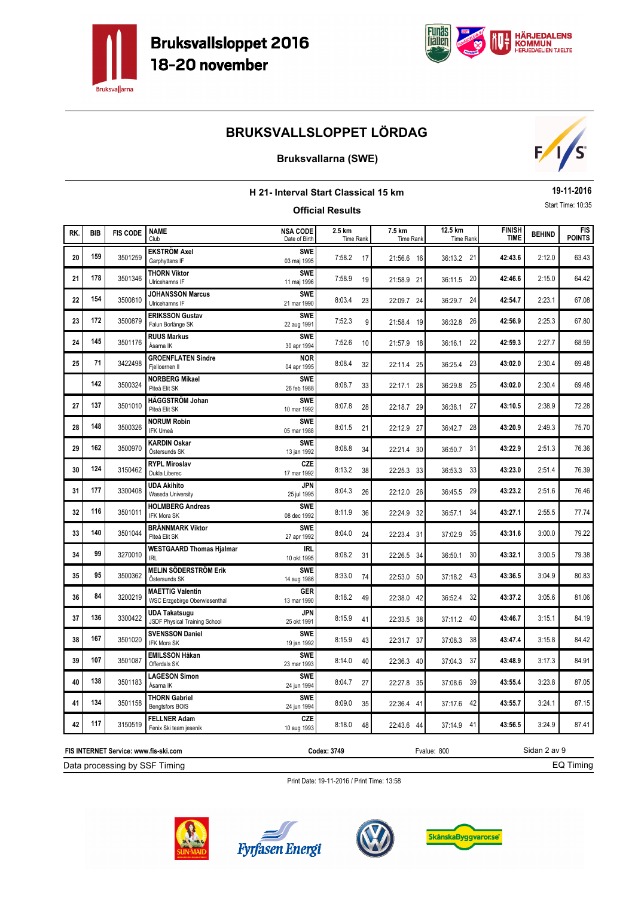



### **Bruksvallarna (SWE)**



|     | 19-11-2016<br>H 21- Interval Start Classical 15 km<br>Start Time: 10:35<br><b>Official Results</b> |                 |                                                          |                                  |                     |                     |                      |                              |               |                             |  |
|-----|----------------------------------------------------------------------------------------------------|-----------------|----------------------------------------------------------|----------------------------------|---------------------|---------------------|----------------------|------------------------------|---------------|-----------------------------|--|
| RK. | <b>BIB</b>                                                                                         | <b>FIS CODE</b> | <b>NAME</b><br>Club                                      | <b>NSA CODE</b><br>Date of Birth | 2.5 km<br>Time Rank | 7.5 km<br>Time Rank | 12.5 km<br>Time Rank | <b>FINISH</b><br><b>TIME</b> | <b>BEHIND</b> | <b>FIS</b><br><b>POINTS</b> |  |
| 20  | 159                                                                                                | 3501259         | <b>EKSTRÖM Axel</b><br>Garphyttans IF                    | <b>SWE</b><br>03 maj 1995        | 7:58.2<br>17        | 21:56.6 16          | 36:13.2 21           | 42:43.6                      | 2:12.0        | 63.43                       |  |
| 21  | 178                                                                                                | 3501346         | <b>THORN Viktor</b><br>Ulricehamns IF                    | <b>SWE</b><br>11 maj 1996        | 7:58.9<br>19        | 21:58.9 21          | 36:11.5 20           | 42:46.6                      | 2:15.0        | 64.42                       |  |
| 22  | 154                                                                                                | 3500810         | <b>JOHANSSON Marcus</b><br>Ulricehamns IF                | <b>SWE</b><br>21 mar 1990        | 8:03.4<br>23        | 22:09.7 24          | 36:29.7 24           | 42:54.7                      | 2:23.1        | 67.08                       |  |
| 23  | 172                                                                                                | 3500879         | <b>ERIKSSON Gustav</b><br>Falun Borlänge SK              | <b>SWE</b><br>22 aug 1991        | 7:52.3<br>9         | 21:58.4 19          | 26<br>36:32.8        | 42:56.9                      | 2:25.3        | 67.80                       |  |
| 24  | 145                                                                                                | 3501176         | <b>RUUS Markus</b><br>Åsarna IK                          | <b>SWE</b><br>30 apr 1994        | 7:52.6<br>10        | 21:57.9 18          | 22<br>36:16.1        | 42:59.3                      | 2:27.7        | 68.59                       |  |
| 25  | 71                                                                                                 | 3422498         | <b>GROENFLATEN Sindre</b><br>Fjelloernen II              | <b>NOR</b><br>04 apr 1995        | 8:08.4<br>32        | 22:11.4 25          | 23<br>36:25.4        | 43:02.0                      | 2:30.4        | 69.48                       |  |
|     | 142                                                                                                | 3500324         | <b>NORBERG Mikael</b><br>Piteå Elit SK                   | <b>SWE</b><br>26 feb 1988        | 8:08.7<br>33        | 22:17.1 28          | 36:29.8<br>25        | 43:02.0                      | 2:30.4        | 69.48                       |  |
| 27  | 137                                                                                                | 3501010         | HÄGGSTRÖM Johan<br>Piteå Elit SK                         | <b>SWE</b><br>10 mar 1992        | 8:07.8<br>28        | 22:18.7 29          | 27<br>36:38.1        | 43:10.5                      | 2:38.9        | 72.28                       |  |
| 28  | 148                                                                                                | 3500326         | <b>NORUM Robin</b><br>IFK Umeå                           | <b>SWE</b><br>05 mar 1988        | 8:01.5<br>21        | 22:12.9 27          | 28<br>36:42.7        | 43:20.9                      | 2:49.3        | 75.70                       |  |
| 29  | 162                                                                                                | 3500970         | <b>KARDIN Oskar</b><br>Östersunds SK                     | <b>SWE</b><br>13 jan 1992        | 8:08.8<br>34        | 22:21.4 30          | 31<br>36:50.7        | 43:22.9                      | 2:51.3        | 76.36                       |  |
| 30  | 124                                                                                                | 3150462         | <b>RYPL Miroslav</b><br>Dukla Liberec                    | CZE<br>17 mar 1992               | 8:13.2<br>38        | 22:25.3 33          | 33<br>36:53.3        | 43:23.0                      | 2:51.4        | 76.39                       |  |
| 31  | 177                                                                                                | 3300408         | <b>UDA Akihito</b><br>Waseda University                  | <b>JPN</b><br>25 jul 1995        | 8:04.3<br>26        | 22:12.0 26          | 36:45.5 29           | 43:23.2                      | 2:51.6        | 76.46                       |  |
| 32  | 116                                                                                                | 3501011         | <b>HOLMBERG Andreas</b><br>IFK Mora SK                   | <b>SWE</b><br>08 dec 1992        | 8:11.9<br>36        | 22:24.9 32          | 34<br>36:57.1        | 43:27.1                      | 2:55.5        | 77.74                       |  |
| 33  | 140                                                                                                | 3501044         | <b>BRÄNNMARK Viktor</b><br>Piteå Elit SK                 | <b>SWE</b><br>27 apr 1992        | 8:04.0<br>24        | 22:23.4 31          | 35<br>37:02.9        | 43:31.6                      | 3:00.0        | 79.22                       |  |
| 34  | 99                                                                                                 | 3270010         | <b>WESTGAARD Thomas Hjalmar</b><br><b>IRL</b>            | IRL<br>10 okt 1995               | 8:08.2<br>31        | 22:26.5 34          | 30<br>36:50.1        | 43:32.1                      | 3:00.5        | 79.38                       |  |
| 35  | 95                                                                                                 | 3500362         | MELIN SÖDERSTRÖM Erik<br>Östersunds SK                   | <b>SWE</b><br>14 aug 1986        | 8:33.0<br>74        | 22:53.0 50          | 43<br>37:18.2        | 43:36.5                      | 3:04.9        | 80.83                       |  |
| 36  | 84                                                                                                 | 3200219         | <b>MAETTIG Valentin</b><br>WSC Erzgebirge Oberwiesenthal | GER<br>13 mar 1990               | 8:18.2<br>49        | 22:38.0 42          | 32<br>36:52.4        | 43:37.2                      | 3:05.6        | 81.06                       |  |
| 37  | 136                                                                                                | 3300422         | <b>UDA Takatsugu</b><br>JSDF Physical Training School    | JPN<br>25 okt 1991               | 8:15.9<br>41        | 22:33.5 38          | 40<br>37:11.2        | 43:46.7                      | 3:15.1        | 84.19                       |  |
| 38  | 167                                                                                                | 3501020         | <b>SVENSSON Daniel</b><br>IFK Mora SK                    | <b>SWE</b><br>19 jan 1992        | 8:15.9<br>43        | 22:31.7 37          | 38<br>37:08.3        | 43:47.4                      | 3:15.8        | 84.42                       |  |
| 39  | 107                                                                                                | 3501087         | <b>EMILSSON Håkan</b><br>Offerdals SK                    | <b>SWE</b><br>23 mar 1993        | 8:14.0<br>40        | 22:36.3 40          | 37:04.3 37           | 43:48.9                      | 3:17.3        | 84.91                       |  |
| 40  | 138                                                                                                | 3501183         | <b>LAGESON Simon</b><br>Åsarna IK                        | <b>SWE</b><br>24 jun 1994        | 8:04.7<br>27        | 22:27.8 35          | 37:08.6 39           | 43:55.4                      | 3:23.8        | 87.05                       |  |
| 41  | 134                                                                                                | 3501158         | <b>THORN Gabriel</b><br>Bengtsfors BOIS                  | <b>SWE</b><br>24 jun 1994        | 8:09.0<br>35        | 22:36.4 41          | 37:17.6 42           | 43:55.7                      | 3:24.1        | 87.15                       |  |
| 42  | 117                                                                                                | 3150519         | <b>FELLNER Adam</b><br>Fenix Ski team jesenik            | CZE<br>10 aug 1993               | 8:18.0<br>48        | 22:43.6 44          | 37:14.9 41           | 43:56.5                      | 3:24.9        | 87.41                       |  |

Print Date: 19-11-2016 / Print Time: 13:58



Data processing by SSF Timing **FIS INTERNET Service: www.fis-ski.com**





**Codex: 3749** Fvalue: 800



Sidan 2 av 9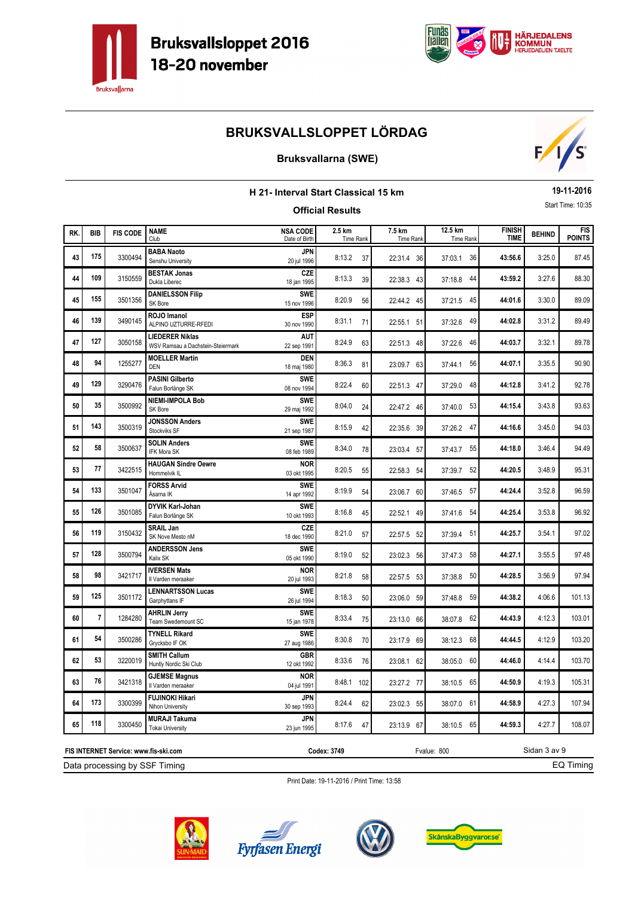



### **Bruksvallarna (SWE)**



|     | 19-11-2016<br><b>H 21- Interval Start Classical 15 km</b><br>Start Time: 10:35<br><b>Official Results</b> |                                       |                                                      |                                  |                     |                     |                      |                              |               |                      |  |
|-----|-----------------------------------------------------------------------------------------------------------|---------------------------------------|------------------------------------------------------|----------------------------------|---------------------|---------------------|----------------------|------------------------------|---------------|----------------------|--|
| RK. | <b>BIB</b>                                                                                                | <b>FIS CODE</b>                       | <b>NAME</b><br>Club                                  | <b>NSA CODE</b><br>Date of Birth | 2.5 km<br>Time Rank | 7.5 km<br>Time Rank | 12.5 km<br>Time Rank | <b>FINISH</b><br><b>TIME</b> | <b>BEHIND</b> | FIS<br><b>POINTS</b> |  |
| 43  | 175                                                                                                       | 3300494                               | <b>BABA Naoto</b><br>Senshu University               | JPN<br>20 jul 1996               | 8:13.2<br>37        | 22:31.4 36          | 36<br>37:03.1        | 43:56.6                      | 3:25.0        | 87.45                |  |
| 44  | 109                                                                                                       | 3150559                               | <b>BESTAK Jonas</b><br>Dukla Liberec                 | <b>CZE</b><br>18 jan 1995        | 8:13.3<br>39        | 22:38.3 43          | 37:18.8 44           | 43:59.2                      | 3:27.6        | 88.30                |  |
| 45  | 155                                                                                                       | 3501356                               | <b>DANIELSSON Filip</b><br>SK Bore                   | <b>SWE</b><br>15 nov 1996        | 8:20.9<br>56        | 22:44.2 45          | 45<br>37:21.5        | 44:01.6                      | 3:30.0        | 89.09                |  |
| 46  | 139                                                                                                       | 3490145                               | ROJO Imanol<br>ALPINO UZTURRE-RFEDI                  | <b>ESP</b><br>30 nov 1990        | 8:31.1<br>71        | 22:55.1 51          | 49<br>37:32.6        | 44:02.8                      | 3:31.2        | 89.49                |  |
| 47  | 127                                                                                                       | 3050158                               | LIEDERER Niklas<br>WSV Ramsau a Dachstein-Steiermark | AUT<br>22 sep 1991               | 8:24.9<br>63        | 22:51.3 48          | 46<br>37:22.6        | 44:03.7                      | 3:32.1        | 89.78                |  |
| 48  | 94                                                                                                        | 1255277                               | <b>MOELLER Martin</b><br><b>DEN</b>                  | DEN<br>18 maj 1980               | 8:36.3<br>81        | 23:09.7 63          | 56<br>37:44.1        | 44:07.1                      | 3:35.5        | 90.90                |  |
| 49  | 129                                                                                                       | 3290476                               | <b>PASINI Gilberto</b><br>Falun Borlänge SK          | <b>SWE</b><br>08 nov 1994        | 8:22.4<br>60        | 22:51.3 47          | 48<br>37:29.0        | 44:12.8                      | 3:41.2        | 92.78                |  |
| 50  | 35                                                                                                        | 3500992                               | <b>NIEMI-IMPOLA Bob</b><br>SK Bore                   | <b>SWE</b><br>29 maj 1992        | 8:04.0<br>24        | 22:47.2 46          | 53<br>37:40.0        | 44:15.4                      | 3:43.8        | 93.63                |  |
| 51  | 143                                                                                                       | 3500319                               | JONSSON Anders<br>Stockviks SF                       | <b>SWE</b><br>21 sep 1987        | 8:15.9<br>42        | 22:35.6 39          | 47<br>37:26.2        | 44:16.6                      | 3:45.0        | 94.03                |  |
| 52  | 58                                                                                                        | 3500637                               | <b>SOLIN Anders</b><br><b>IFK Mora SK</b>            | <b>SWE</b><br>08 feb 1989        | 8:34.0<br>78        | 23:03.4 57          | 37:43.7<br>55        | 44:18.0                      | 3:46.4        | 94.49                |  |
| 53  | 77                                                                                                        | 3422515                               | <b>HAUGAN Sindre Oewre</b><br>Hommelvik IL           | <b>NOR</b><br>03 okt 1995        | 8:20.5<br>55        | 22:58.3 54          | 52<br>37:39.7        | 44:20.5                      | 3:48.9        | 95.31                |  |
| 54  | 133                                                                                                       | 3501047                               | <b>FORSS Arvid</b><br>Åsarna IK                      | <b>SWE</b><br>14 apr 1992        | 8:19.9<br>54        | 23:06.7 60          | 37:46.5 57           | 44:24.4                      | 3:52.8        | 96.59                |  |
| 55  | 126                                                                                                       | 3501085                               | DYVIK Karl-Johan<br>Falun Borlänge SK                | <b>SWE</b><br>10 okt 1993        | 8:16.8<br>45        | 22:52.1 49          | 54<br>37:41.6        | 44:25.4                      | 3:53.8        | 96.92                |  |
| 56  | 119                                                                                                       | 3150432                               | <b>SRAIL Jan</b><br>SK Nove Mesto nM                 | <b>CZE</b><br>18 dec 1990        | 8:21.0<br>57        | 22:57.5 52          | 51<br>37:39.4        | 44:25.7                      | 3:54.1        | 97.02                |  |
| 57  | 128                                                                                                       | 3500794                               | <b>ANDERSSON Jens</b><br>Kalix SK                    | <b>SWE</b><br>05 okt 1990        | 8:19.0<br>52        | 23:02.3 56          | 58<br>37:47.3        | 44:27.1                      | 3:55.5        | 97.48                |  |
| 58  | 98                                                                                                        | 3421717                               | <b>IVERSEN Mats</b><br>Il Varden meraaker            | <b>NOR</b><br>20 jul 1993        | 8:21.8<br>58        | 22:57.5 53          | 50<br>37:38.8        | 44:28.5                      | 3:56.9        | 97.94                |  |
| 59  | 125                                                                                                       | 3501172                               | <b>LENNARTSSON Lucas</b><br>Garphyttans IF           | <b>SWE</b><br>26 jul 1994        | 8:18.3<br>50        | 23:06.0 59          | 59<br>37:48.8        | 44:38.2                      | 4:06.6        | 101.13               |  |
| 60  | $\overline{7}$                                                                                            | 1284280                               | <b>AHRLIN Jerry</b><br>Team Swedemount SC            | <b>SWE</b><br>15 jan 1978        | 8:33.4<br>75        | 23:13.0 66          | 62<br>38:07.8        | 44:43.9                      | 4:12.3        | 103.01               |  |
| 61  | 54                                                                                                        | 3500286                               | <b>TYNELL Rikard</b><br>Grycksbo IF OK               | <b>SWE</b><br>27 aug 1986        | 8:30.8<br>70        | 23:17.9 69          | 68<br>38:12.3        | 44:44.5                      | 4:12.9        | 103.20               |  |
| 62  | 53                                                                                                        | 3220019                               | <b>SMITH Callum</b><br>Huntly Nordic Ski Club        | GBR<br>12 okt 1992               | 8:33.6<br>76        | 23:08.1 62          | 38:05.0 60           | 44:46.0                      | 4:14.4        | 103.70               |  |
| 63  | 76                                                                                                        | 3421318                               | <b>GJEMSE Magnus</b><br>Il Varden meraaker           | <b>NOR</b><br>04 jul 1991        | 8:48.1 102          | 23:27.2 77          | 38:10.5 65           | 44:50.9                      | 4:19.3        | 105.31               |  |
| 64  | 173                                                                                                       | 3300399                               | <b>FUJINOKI Hikari</b><br>Nihon University           | <b>JPN</b><br>30 sep 1993        | 8:24.4<br>62        | 23:02.3 55          | 38:07.0 61           | 44:58.9                      | 4:27.3        | 107.94               |  |
| 65  | 118                                                                                                       | 3300450                               | <b>MURAJI Takuma</b><br><b>Tokai University</b>      | <b>JPN</b><br>23 jun 1995        | 8:17.6<br>47        | 23:13.9 67          | 38:10.5 65           | 44:59.3                      | 4:27.7        | 108.07               |  |
|     |                                                                                                           | FIS INTERNET Service: www.fis-ski.com |                                                      |                                  | Codex: 3749         |                     | Fvalue: 800          |                              | Sidan 3 av 9  |                      |  |

EQ Timing

Print Date: 19-11-2016 / Print Time: 13:58



Data processing by SSF Timing





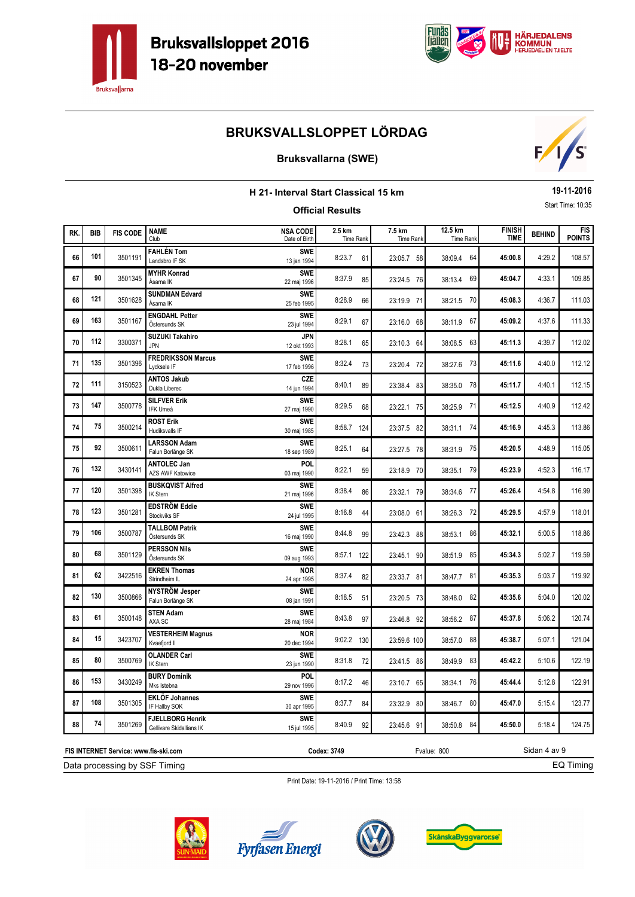



### **Bruksvallarna (SWE)**



|     | 19-11-2016<br>H 21- Interval Start Classical 15 km<br>Start Time: 10:35<br><b>Official Results</b> |                 |                                                     |                                  |                     |                            |                      |                              |               |                             |  |
|-----|----------------------------------------------------------------------------------------------------|-----------------|-----------------------------------------------------|----------------------------------|---------------------|----------------------------|----------------------|------------------------------|---------------|-----------------------------|--|
| RK. | <b>BIB</b>                                                                                         | <b>FIS CODE</b> | <b>NAME</b><br>Club                                 | <b>NSA CODE</b><br>Date of Birth | 2.5 km<br>Time Rank | 7.5 km<br><b>Time Rank</b> | 12.5 km<br>Time Rank | <b>FINISH</b><br><b>TIME</b> | <b>BEHIND</b> | <b>FIS</b><br><b>POINTS</b> |  |
| 66  | 101                                                                                                | 3501191         | <b>FAHLÉN Tom</b><br>Landsbro IF SK                 | <b>SWE</b><br>13 jan 1994        | 8:23.7<br>61        | 23:05.7 58                 | 64<br>38:09.4        | 45:00.8                      | 4:29.2        | 108.57                      |  |
| 67  | 90                                                                                                 | 3501345         | <b>MYHR Konrad</b><br>Åsarna IK                     | <b>SWE</b><br>22 maj 1996        | 8:37.9<br>85        | 23:24.5 76                 | 69<br>38:13.4        | 45:04.7                      | 4:33.1        | 109.85                      |  |
| 68  | 121                                                                                                | 3501628         | <b>SUNDMAN Edvard</b><br>Åsarna IK                  | <b>SWE</b><br>25 feb 1995        | 8:28.9<br>66        | 23:19.9 71                 | 38:21.5 70           | 45:08.3                      | 4:36.7        | 111.03                      |  |
| 69  | 163                                                                                                | 3501167         | <b>ENGDAHL Petter</b><br>Östersunds SK              | <b>SWE</b><br>23 jul 1994        | 8:29.1<br>67        | 23:16.0 68                 | 67<br>38:11.9        | 45:09.2                      | 4:37.6        | 111.33                      |  |
| 70  | 112                                                                                                | 3300371         | <b>SUZUKI Takahiro</b><br><b>JPN</b>                | JPN<br>12 okt 1993               | 8:28.1<br>65        | 23:10.3 64                 | 63<br>38:08.5        | 45:11.3                      | 4:39.7        | 112.02                      |  |
| 71  | 135                                                                                                | 3501396         | <b>FREDRIKSSON Marcus</b><br>Lycksele IF            | <b>SWF</b><br>17 feb 1996        | 8:32.4<br>73        | 23:20.4 72                 | 38:27.6 73           | 45:11.6                      | 4:40.0        | 112.12                      |  |
| 72  | 111                                                                                                | 3150523         | <b>ANTOS Jakub</b><br>Dukla Liberec                 | <b>CZE</b><br>14 jun 1994        | 8:40.1<br>89        | 23:38.4 83                 | 38:35.0<br>78        | 45:11.7                      | 4:40.1        | 112.15                      |  |
| 73  | 147                                                                                                | 3500778         | <b>SILFVER Erik</b><br>IFK Umeå                     | <b>SWE</b><br>27 maj 1990        | 8:29.5<br>68        | 23:22.1 75                 | 38:25.9 71           | 45:12.5                      | 4:40.9        | 112.42                      |  |
| 74  | 75                                                                                                 | 3500214         | <b>ROST Erik</b><br>Hudiksvalls IF                  | <b>SWE</b><br>30 maj 1985        | 8:58.7 124          | 23:37.5 82                 | 38:31.1 74           | 45:16.9                      | 4:45.3        | 113.86                      |  |
| 75  | 92                                                                                                 | 3500611         | <b>LARSSON Adam</b><br>Falun Borlänge SK            | <b>SWE</b><br>18 sep 1989        | 8:25.1<br>64        | 23:27.5 78                 | 38:31.9<br>75        | 45:20.5                      | 4:48.9        | 115.05                      |  |
| 76  | 132                                                                                                | 3430141         | <b>ANTOLEC Jan</b><br><b>AZS AWF Katowice</b>       | POL<br>03 maj 1990               | 8:22.1<br>59        | 23:18.9 70                 | 79<br>38:35.1        | 45:23.9                      | 4:52.3        | 116.17                      |  |
| 77  | 120                                                                                                | 3501398         | <b>BUSKQVIST Alfred</b><br>IK Stern                 | <b>SWE</b><br>21 maj 1996        | 8:38.4<br>86        | 23:32.1 79                 | 38:34.6 77           | 45:26.4                      | 4:54.8        | 116.99                      |  |
| 78  | 123                                                                                                | 3501281         | <b>EDSTRÖM Eddie</b><br>Stockviks SF                | <b>SWE</b><br>24 jul 1995        | 8:16.8<br>44        | 23:08.0 61                 | 38:26.3<br>72        | 45:29.5                      | 4:57.9        | 118.01                      |  |
| 79  | 106                                                                                                | 3500787         | <b>TALLBOM Patrik</b><br>Östersunds SK              | <b>SWE</b><br>16 maj 1990        | 8:44.8<br>99        | 23:42.3 88                 | 86<br>38:53.1        | 45:32.1                      | 5:00.5        | 118.86                      |  |
| 80  | 68                                                                                                 | 3501129         | <b>PERSSON Nils</b><br>Östersunds SK                | <b>SWE</b><br>09 aug 1993        | 8:57.1 122          | 23:45.1 90                 | 85<br>38:51.9        | 45:34.3                      | 5:02.7        | 119.59                      |  |
| 81  | 62                                                                                                 | 3422516         | <b>EKREN Thomas</b><br>Strindheim IL                | <b>NOR</b><br>24 apr 1995        | 8:37.4<br>82        | 23:33.7 81                 | 81<br>38:47.7        | 45:35.3                      | 5:03.7        | 119.92                      |  |
| 82  | 130                                                                                                | 3500866         | NYSTRÖM Jesper<br>Falun Borlänge SK                 | <b>SWF</b><br>08 jan 1991        | 8:18.5<br>51        | 23:20.5 73                 | 82<br>38:48.0        | 45:35.6                      | 5:04.0        | 120.02                      |  |
| 83  | 61                                                                                                 | 3500148         | <b>STEN Adam</b><br>AXA SC                          | <b>SWE</b><br>28 maj 1984        | 8:43.8<br>97        | 23:46.8 92                 | 38:56.2 87           | 45:37.8                      | 5:06.2        | 120.74                      |  |
| 84  | 15                                                                                                 | 3423707         | <b>VESTERHEIM Magnus</b><br>Kvaefjord II            | <b>NOR</b><br>20 dec 1994        | $9:02.2$ 130        | 23:59.6 100                | 88<br>38:57.0        | 45:38.7                      | 5:07.1        | 121.04                      |  |
| 85  | 80                                                                                                 | 3500769         | <b>OLANDER Carl</b><br>IK Stern                     | <b>SWE</b><br>23 jun 1990        | 8:31.8<br>72        | 23:41.5 86                 | 38:49.9 83           | 45:42.2                      | 5:10.6        | 122.19                      |  |
| 86  | 153                                                                                                | 3430249         | <b>BURY Dominik</b><br>Mks Istebna                  | POL.<br>29 nov 1996              | 8:17.2<br>46        | 23:10.7 65                 | 38:34.1 76           | 45:44.4                      | 5:12.8        | 122.91                      |  |
| 87  | 108                                                                                                | 3501305         | <b>EKLÖF Johannes</b><br>IF Hallby SOK              | <b>SWE</b><br>30 apr 1995        | 8:37.7<br>84        | 23:32.9 80                 | 38:46.7 80           | 45:47.0                      | 5:15.4        | 123.77                      |  |
| 88  | 74                                                                                                 | 3501269         | <b>FJELLBORG Henrik</b><br>Gellivare Skidallians IK | <b>SWE</b><br>15 jul 1995        | 8:40.9<br>92        | 23:45.6 91                 | 38:50.8 84           | 45:50.0                      | 5:18.4        | 124.75                      |  |

Print Date: 19-11-2016 / Print Time: 13:58

Data processing by SSF Timing **FIS INTERNET Service: www.fis-ski.com**





**Codex: 3749** Fvalue: 800



Sidan 4 av 9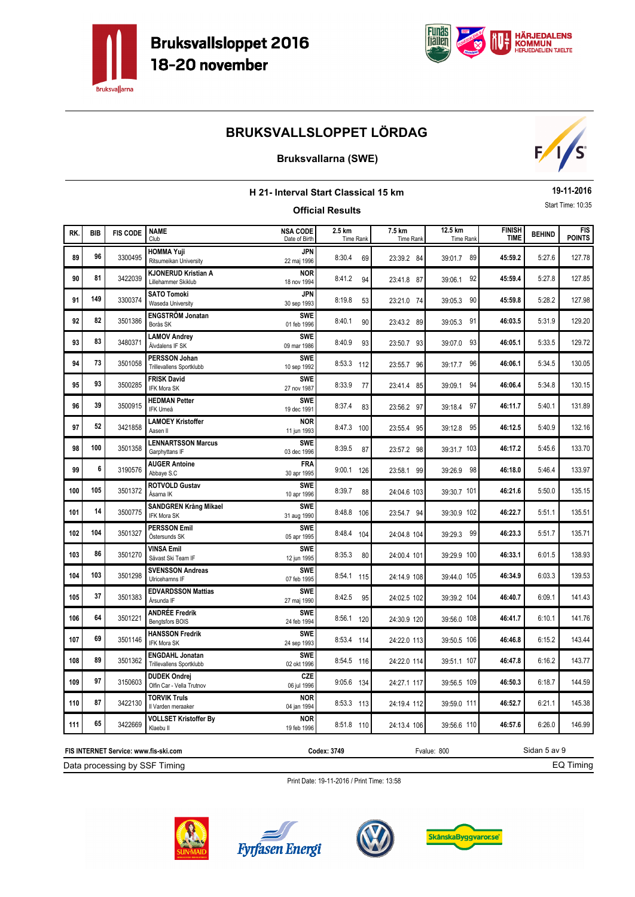



### **Bruksvallarna (SWE)**



|     | 19-11-2016<br><b>H 21- Interval Start Classical 15 km</b><br>Start Time: 10:35 |                 |                                                    |                                  |                            |                            |                      |                              |               |                             |  |
|-----|--------------------------------------------------------------------------------|-----------------|----------------------------------------------------|----------------------------------|----------------------------|----------------------------|----------------------|------------------------------|---------------|-----------------------------|--|
|     |                                                                                |                 |                                                    |                                  | <b>Official Results</b>    |                            |                      |                              |               |                             |  |
| RK. | <b>BIB</b>                                                                     | <b>FIS CODE</b> | <b>NAME</b><br>Club                                | <b>NSA CODE</b><br>Date of Birth | 2.5 km<br><b>Time Rank</b> | 7.5 km<br><b>Time Rank</b> | 12.5 km<br>Time Rank | <b>FINISH</b><br><b>TIME</b> | <b>BEHIND</b> | <b>FIS</b><br><b>POINTS</b> |  |
| 89  | 96                                                                             | 3300495         | <b>HOMMA Yuji</b><br>Ritsumeikan University        | JPN<br>22 maj 1996               | 8:30.4<br>69               | 23:39.2 84                 | 39:01.7 89           | 45:59.2                      | 5:27.6        | 127.78                      |  |
| 90  | 81                                                                             | 3422039         | <b>KJONERUD Kristian A</b><br>Lillehammer Skiklub  | NOR<br>18 nov 1994               | 8:41.2<br>94               | 23:41.8 87                 | 92<br>39:06.1        | 45:59.4                      | 5:27.8        | 127.85                      |  |
| 91  | 149                                                                            | 3300374         | <b>SATO Tomoki</b><br>Waseda University            | JPN<br>30 sep 1993               | 8:19.8<br>53               | 23:21.0 74                 | 39:05.3 90           | 45:59.8                      | 5:28.2        | 127.98                      |  |
| 92  | 82                                                                             | 3501386         | <b>ENGSTRÖM Jonatan</b><br>Borås SK                | <b>SWE</b><br>01 feb 1996        | 8:40.1<br>90               | 23:43.2 89                 | 39:05.3 91           | 46:03.5                      | 5:31.9        | 129.20                      |  |
| 93  | 83                                                                             | 3480371         | <b>LAMOV Andrey</b><br>Älvdalens IF SK             | <b>SWE</b><br>09 mar 1986        | 8:40.9<br>93               | 23:50.7 93                 | 39:07.0 93           | 46:05.1                      | 5:33.5        | 129.72                      |  |
| 94  | 73                                                                             | 3501058         | PERSSON Johan<br>Trillevallens Sportklubb          | <b>SWE</b><br>10 sep 1992        | 8:53.3 112                 | 23:55.7 96                 | 39:17.7 96           | 46:06.1                      | 5:34.5        | 130.05                      |  |
| 95  | 93                                                                             | 3500285         | <b>FRISK David</b><br>IFK Mora SK                  | <b>SWE</b><br>27 nov 1987        | 8:33.9<br>77               | 23:41.4 85                 | 39:09.1 94           | 46:06.4                      | 5:34.8        | 130.15                      |  |
| 96  | 39                                                                             | 3500915         | <b>HEDMAN Petter</b><br><b>IFK Umeå</b>            | <b>SWE</b><br>19 dec 1991        | 8:37.4<br>83               | 23:56.2 97                 | 39:18.4 97           | 46:11.7                      | 5:40.1        | 131.89                      |  |
| 97  | 52                                                                             | 3421858         | <b>LAMOEY Kristoffer</b><br>Aasen II               | <b>NOR</b><br>11 jun 1993        | 8:47.3 100                 | 23:55.4 95                 | 39:12.8 95           | 46:12.5                      | 5:40.9        | 132.16                      |  |
| 98  | 100                                                                            | 3501358         | <b>LENNARTSSON Marcus</b><br>Garphyttans IF        | <b>SWE</b><br>03 dec 1996        | 8:39.5<br>87               | 23:57.2 98                 | 39:31.7 103          | 46:17.2                      | 5:45.6        | 133.70                      |  |
| 99  | 6                                                                              | 3190576         | <b>AUGER Antoine</b><br>Abbaye S.C                 | <b>FRA</b><br>30 apr 1995        | 9:00.1 126                 | 23:58.1 99                 | 39:26.9 98           | 46:18.0                      | 5:46.4        | 133.97                      |  |
| 100 | 105                                                                            | 3501372         | <b>ROTVOLD Gustav</b><br>Åsarna IK                 | <b>SWE</b><br>10 apr 1996        | 8:39.7<br>88               | 24:04.6 103                | 39:30.7 101          | 46:21.6                      | 5:50.0        | 135.15                      |  |
| 101 | 14                                                                             | 3500775         | <b>SANDGREN Krång Mikael</b><br><b>IFK Mora SK</b> | <b>SWE</b><br>31 aug 1990        | 8:48.8 106                 | 23:54.7 94                 | 39:30.9 102          | 46:22.7                      | 5:51.1        | 135.51                      |  |
| 102 | 104                                                                            | 3501327         | <b>PERSSON Emil</b><br>Östersunds SK               | <b>SWE</b><br>05 apr 1995        | 8:48.4 104                 | 24:04.8 104                | 39:29.3 99           | 46:23.3                      | 5:51.7        | 135.71                      |  |
| 103 | 86                                                                             | 3501270         | <b>VINSA Emil</b><br>Sävast Ski Team IF            | <b>SWE</b><br>12 jun 1995        | 8:35.3<br>80               | 24:00.4 101                | 39:29.9 100          | 46:33.1                      | 6:01.5        | 138.93                      |  |
| 104 | 103                                                                            | 3501298         | <b>SVENSSON Andreas</b><br>Ulricehamns IF          | <b>SWE</b><br>07 feb 1995        | 8:54.1 115                 | 24:14.9 108                | 39:44.0 105          | 46:34.9                      | 6:03.3        | 139.53                      |  |
| 105 | 37                                                                             | 3501383         | <b>EDVARDSSON Mattias</b><br>Årsunda IF            | <b>SWE</b><br>27 maj 1990        | 8:42.5<br>95               | 24:02.5 102                | 39:39.2 104          | 46:40.7                      | 6:09.1        | 141.43                      |  |
| 106 | 64                                                                             | 3501221         | <b>ANDRÉE Fredrik</b><br>Bengtsfors BOIS           | <b>SWE</b><br>24 feb 1994        | 8:56.1<br>120              | 24:30.9 120                | 39:56.0 108          | 46:41.7                      | 6:10.1        | 141.76                      |  |
| 107 | 69                                                                             | 3501146         | <b>HANSSON Fredrik</b><br>IFK Mora SK              | <b>SWE</b><br>24 sep 1993        | 8:53.4 114                 | 24:22.0 113                | 39:50.5 106          | 46:46.8                      | 6:15.2        | 143.44                      |  |
| 108 | 89                                                                             | 3501362         | <b>ENGDAHL Jonatan</b><br>Trillevallens Sportklubb | SWE <br>02 okt 1996              | 8:54.5 116                 | 24:22.0 114                | 39:51.1 107          | 46:47.8                      | 6:16.2        | 143.77                      |  |
| 109 | 97                                                                             | 3150603         | <b>DUDEK Ondrej</b><br>Olfin Car - Vella Trutnov   | CZE<br>06 jul 1996               | 9:05.6 134                 | 24:27.1 117                | 39:56.5 109          | 46:50.3                      | 6:18.7        | 144.59                      |  |
| 110 | 87                                                                             | 3422130         | <b>TORVIK Truls</b><br>Il Varden meraaker          | <b>NOR</b><br>04 jan 1994        | 8:53.3 113                 | 24:19.4 112                | 39:59.0 111          | 46:52.7                      | 6:21.1        | 145.38                      |  |
| 111 | 65                                                                             | 3422669         | <b>VOLLSET Kristoffer By</b><br>Klaebu II          | <b>NOR</b><br>19 feb 1996        | 8:51.8 110                 | 24:13.4 106                | 39:56.6 110          | 46:57.6                      | 6:26.0        | 146.99                      |  |

Print Date: 19-11-2016 / Print Time: 13:58

Data processing by SSF Timing **FIS INTERNET Service: www.fis-ski.com**





**Codex: 3749** Fvalue: 800



Sidan 5 av 9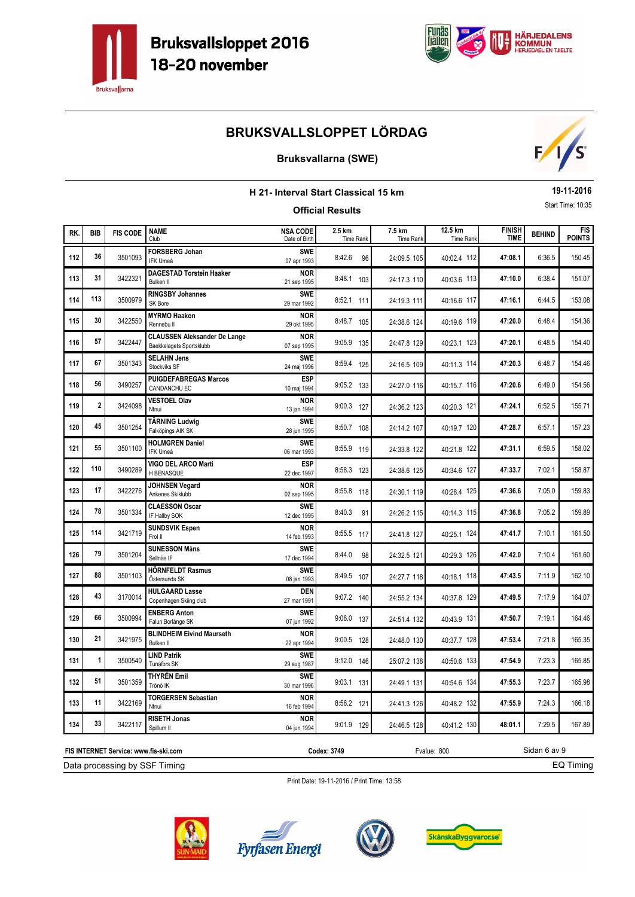



### **Bruksvallarna (SWE)**



|     | 19-11-2016<br><b>H 21- Interval Start Classical 15 km</b>                           |                 |                                                                 |                                  |                         |                     |                      |                              |               |                             |  |  |
|-----|-------------------------------------------------------------------------------------|-----------------|-----------------------------------------------------------------|----------------------------------|-------------------------|---------------------|----------------------|------------------------------|---------------|-----------------------------|--|--|
|     |                                                                                     |                 |                                                                 |                                  | <b>Official Results</b> |                     |                      |                              |               | Start Time: 10:35           |  |  |
| RK. | <b>BIB</b>                                                                          | <b>FIS CODE</b> | <b>NAME</b><br>Club                                             | <b>NSA CODE</b><br>Date of Birth | 2.5 km<br>Time Rank     | 7.5 km<br>Time Rank | 12.5 km<br>Time Rank | <b>FINISH</b><br><b>TIME</b> | <b>BEHIND</b> | <b>FIS</b><br><b>POINTS</b> |  |  |
| 112 | 36                                                                                  | 3501093         | <b>FORSBERG Johan</b><br><b>IFK Umeå</b>                        | <b>SWE</b><br>07 apr 1993        | 8:42.6<br>96            | 24:09.5 105         | 40:02.4 112          | 47:08.1                      | 6:36.5        | 150.45                      |  |  |
| 113 | 31                                                                                  | 3422321         | <b>DAGESTAD Torstein Haaker</b><br><b>Bulken II</b>             | <b>NOR</b><br>21 sep 1995        | 8:48.1 103              | 24:17.3 110         | 40:03.6 113          | 47:10.0                      | 6:38.4        | 151.07                      |  |  |
| 114 | 113                                                                                 | 3500979         | <b>RINGSBY Johannes</b><br>SK Bore                              | <b>SWE</b><br>29 mar 1992        | 8:52.1 111              | 24:19.3 111         | 40:16.6 117          | 47:16.1                      | 6:44.5        | 153.08                      |  |  |
| 115 | 30                                                                                  | 3422550         | <b>MYRMO Haakon</b><br>Rennebu II                               | <b>NOR</b><br>29 okt 1995        | 8:48.7 105              | 24:38.6 124         | 40:19.6 119          | 47:20.0                      | 6:48.4        | 154.36                      |  |  |
| 116 | 57                                                                                  | 3422447         | <b>CLAUSSEN Aleksander De Lange</b><br>Baekkelagets Sportsklubb | <b>NOR</b><br>07 sep 1995        | 9:05.9 135              | 24:47.8 129         | 40:23.1 123          | 47:20.1                      | 6:48.5        | 154.40                      |  |  |
| 117 | 67                                                                                  | 3501343         | <b>SELAHN Jens</b><br>Stockviks SF                              | <b>SWE</b><br>24 maj 1996        | 8:59.4 125              | 24:16.5 109         | 40:11.3 114          | 47:20.3                      | 6:48.7        | 154.46                      |  |  |
| 118 | 56                                                                                  | 3490257         | <b>PUIGDEFABREGAS Marcos</b><br>CANDANCHU EC                    | <b>ESP</b><br>10 maj 1994        | 9:05.2 133              | 24:27.0 116         | 40:15.7 116          | 47:20.6                      | 6:49.0        | 154.56                      |  |  |
| 119 | 2                                                                                   | 3424098         | <b>VESTOEL Olav</b><br>Ntnui                                    | <b>NOR</b><br>13 jan 1994        | $9:00.3$ 127            | 24:36.2 123         | 40:20.3 121          | 47:24.1                      | 6:52.5        | 155.71                      |  |  |
| 120 | 45                                                                                  | 3501254         | <b>TÄRNING Ludwig</b><br>Falköpings AIK SK                      | <b>SWE</b><br>28 jun 1995        | 8:50.7 108              | 24:14.2 107         | 40:19.7 120          | 47:28.7                      | 6:57.1        | 157.23                      |  |  |
| 121 | 55                                                                                  | 3501100         | <b>HOLMGREN Daniel</b><br><b>IFK Umeå</b>                       | <b>SWE</b><br>06 mar 1993        | 8:55.9 119              | 24:33.8 122         | 40:21.8 122          | 47:31.1                      | 6:59.5        | 158.02                      |  |  |
| 122 | 110                                                                                 | 3490289         | VIGO DEL ARCO Marti<br>H BENASQUE                               | <b>ESP</b><br>22 dec 1997        | 8:58.3 123              | 24:38.6 125         | 40:34.6 127          | 47:33.7                      | 7:02.1        | 158.87                      |  |  |
| 123 | 17                                                                                  | 3422276         | <b>JOHNSEN Vegard</b><br>Ankenes Skiklubb                       | NOR<br>02 sep 1995               | 8:55.8 118              | 24:30.1 119         | 40:28.4 125          | 47:36.6                      | 7:05.0        | 159.83                      |  |  |
| 124 | 78                                                                                  | 3501334         | <b>CLAESSON Oscar</b><br>IF Hallby SOK                          | <b>SWE</b><br>12 dec 1995        | 8:40.3<br>91            | 24:26.2 115         | 40:14.3 115          | 47:36.8                      | 7:05.2        | 159.89                      |  |  |
| 125 | 114                                                                                 | 3421719         | <b>SUNDSVIK Espen</b><br>Frol II                                | <b>NOR</b><br>14 feb 1993        | 8:55.5 117              | 24:41.8 127         | 40:25.1 124          | 47:41.7                      | 7:10.1        | 161.50                      |  |  |
| 126 | 79                                                                                  | 3501204         | <b>SUNESSON Måns</b><br>Sellnäs IF                              | <b>SWE</b><br>17 dec 1994        | 8:44.0<br>98            | 24:32.5 121         | 40:29.3 126          | 47:42.0                      | 7:10.4        | 161.60                      |  |  |
| 127 | 88                                                                                  | 3501103         | <b>HÖRNFELDT Rasmus</b><br>Östersunds SK                        | <b>SWE</b><br>08 jan 1993        | 8:49.5 107              | 24:27.7 118         | 40:18.1 118          | 47:43.5                      | 7:11.9        | 162.10                      |  |  |
| 128 | 43                                                                                  | 3170014         | <b>HULGAARD Lasse</b><br>Copenhagen Skiing club                 | <b>DEN</b><br>27 mar 1991        | $9:07.2$ 140            | 24:55.2 134         | 40:37.8 129          | 47:49.5                      | 7:17.9        | 164.07                      |  |  |
| 129 | 66                                                                                  | 3500994         | <b>ENBERG Anton</b><br>Falun Borlänge SK                        | <b>SWE</b><br>07 jun 1992        | 9:06.0 137              | 24:51.4 132         | 40:43.9 131          | 47:50.7                      | 7:19.1        | 164.46                      |  |  |
| 130 | 21                                                                                  | 3421975         | <b>BLINDHEIM Eivind Maurseth</b><br><b>Bulken II</b>            | <b>NOR</b><br>22 apr 1994        | 9:00.5 128              | 24:48.0 130         | 40:37.7 128          | 47:53.4                      | 7:21.8        | 165.35                      |  |  |
| 131 | 1                                                                                   | 3500540         | <b>LIND Patrik</b><br>Tunafors SK                               | <b>SWE</b><br>29 aug 1987        | $9:12.0$ 146            | 25:07.2 138         | 40:50.6 133          | 47:54.9                      | 7:23.3        | 165.85                      |  |  |
| 132 | 51                                                                                  | 3501359         | THYRÉN Emil<br>Trönö IK                                         | <b>SWE</b><br>30 mar 1996        | 9:03.1 131              | 24:49.1 131         | 40:54.6 134          | 47:55.3                      | 7:23.7        | 165.98                      |  |  |
| 133 | 11                                                                                  | 3422169         | <b>TORGERSEN Sebastian</b><br>Ntnui                             | <b>NOR</b><br>16 feb 1994        | 8:56.2 121              | 24:41.3 126         | 40:48.2 132          | 47:55.9                      | 7:24.3        | 166.18                      |  |  |
| 134 | 33                                                                                  | 3422117         | <b>RISETH Jonas</b><br>Spillum II                               | <b>NOR</b><br>04 jun 1994        | 9:01.9 129              | 24:46.5 128         | 40:41.2 130          | 48:01.1                      | 7:29.5        | 167.89                      |  |  |
|     | Sidan 6 av 9<br>Codex: 3749<br>Fvalue: 800<br>FIS INTERNET Service: www.fis-ski.com |                 |                                                                 |                                  |                         |                     |                      |                              |               |                             |  |  |

Data processing by SSF Timing

**Codex: 3749** Fvalue: 800

EQ Timing







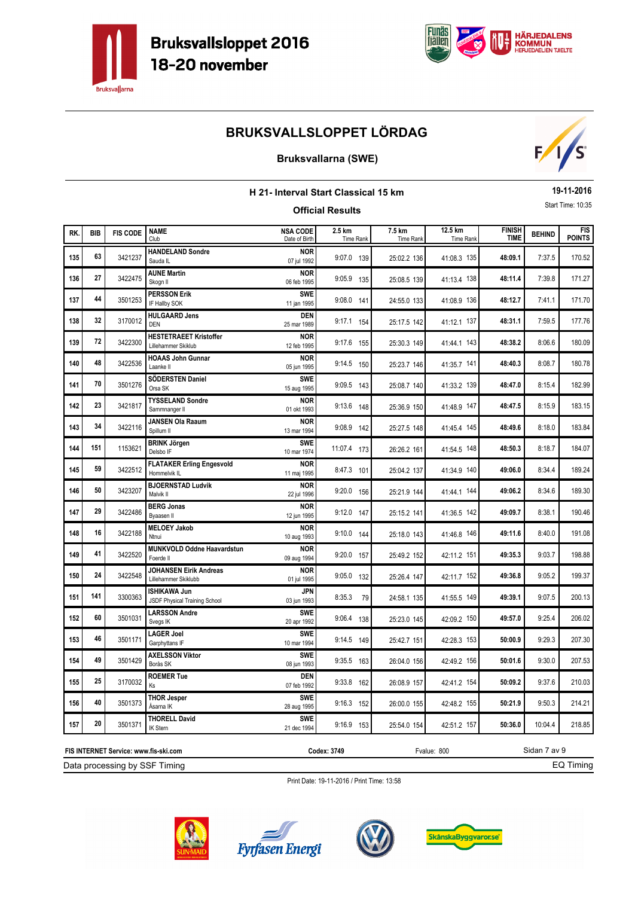



### **Bruksvallarna (SWE)**



|     | 19-11-2016<br>H 21- Interval Start Classical 15 km<br>Start Time: 10:35<br><b>Official Results</b> |                 |                                                       |                                  |                     |                     |                      |                              |               |               |  |
|-----|----------------------------------------------------------------------------------------------------|-----------------|-------------------------------------------------------|----------------------------------|---------------------|---------------------|----------------------|------------------------------|---------------|---------------|--|
|     |                                                                                                    |                 |                                                       |                                  |                     |                     |                      |                              |               |               |  |
| RK. | <b>BIB</b>                                                                                         | <b>FIS CODE</b> | <b>NAME</b><br>Club                                   | <b>NSA CODE</b><br>Date of Birth | 2.5 km<br>Time Rank | 7.5 km<br>Time Rank | 12.5 km<br>Time Rank | <b>FINISH</b><br><b>TIME</b> | <b>BEHIND</b> | FIS<br>POINTS |  |
| 135 | 63                                                                                                 | 3421237         | <b>HANDELAND Sondre</b><br>Sauda IL                   | <b>NOR</b><br>07 jul 1992        | 9:07.0 139          | 25:02.2 136         | 41:08.3 135          | 48:09.1                      | 7:37.5        | 170.52        |  |
| 136 | 27                                                                                                 | 3422475         | <b>AUNE Martin</b><br>Skogn II                        | <b>NOR</b><br>06 feb 1995        | 9:05.9 135          | 25:08.5 139         | 41:13.4 138          | 48:11.4                      | 7:39.8        | 171.27        |  |
| 137 | 44                                                                                                 | 3501253         | <b>PERSSON Erik</b><br>IF Hallby SOK                  | <b>SWE</b><br>11 jan 1995        | $9:08.0$ 141        | 24:55.0 133         | 41:08.9 136          | 48:12.7                      | 7:41.1        | 171.70        |  |
| 138 | 32                                                                                                 | 3170012         | <b>HULGAARD Jens</b><br><b>DEN</b>                    | <b>DEN</b><br>25 mar 1989        | 9:17.1 154          | 25:17.5 142         | 41:12.1 137          | 48:31.1                      | 7:59.5        | 177.76        |  |
| 139 | 72                                                                                                 | 3422300         | <b>HESTETRAEET Kristoffer</b><br>Lillehammer Skiklub  | <b>NOR</b><br>12 feb 1995        | 9:17.6 155          | 25:30.3 149         | 41:44.1 143          | 48:38.2                      | 8:06.6        | 180.09        |  |
| 140 | 48                                                                                                 | 3422536         | <b>HOAAS John Gunnar</b><br>Laanke II                 | <b>NOR</b><br>05 jun 1995        | 9:14.5 150          | 25:23.7 146         | 41:35.7 141          | 48:40.3                      | 8:08.7        | 180.78        |  |
| 141 | 70                                                                                                 | 3501276         | SÖDERSTEN Daniel<br>Orsa SK                           | <b>SWE</b><br>15 aug 1995        | 9:09.5 143          | 25:08.7 140         | 41:33.2 139          | 48:47.0                      | 8:15.4        | 182.99        |  |
| 142 | 23                                                                                                 | 3421817         | <b>TYSSELAND Sondre</b><br>Sammnanger II              | <b>NOR</b><br>01 okt 1993        | 9:13.6 148          | 25:36.9 150         | 41:48.9 147          | 48:47.5                      | 8:15.9        | 183.15        |  |
| 143 | 34                                                                                                 | 3422116         | <b>JANSEN Ola Raaum</b><br>Spillum II                 | <b>NOR</b><br>13 mar 1994        | 9:08.9 142          | 25:27.5 148         | 41:45.4 145          | 48:49.6                      | 8:18.0        | 183.84        |  |
| 144 | 151                                                                                                | 1153621         | <b>BRINK Jörgen</b><br>Delsbo IF                      | <b>SWE</b><br>10 mar 1974        | 11:07.4 173         | 26:26.2 161         | 41:54.5 148          | 48:50.3                      | 8:18.7        | 184.07        |  |
| 145 | 59                                                                                                 | 3422512         | <b>FLATAKER Erling Engesvold</b><br>Hommelvik IL      | <b>NOR</b><br>11 maj 1995        | 8:47.3 101          | 25:04.2 137         | 41:34.9 140          | 49:06.0                      | 8:34.4        | 189.24        |  |
| 146 | 50                                                                                                 | 3423207         | <b>BJOERNSTAD Ludvik</b><br>Malvik II                 | <b>NOR</b><br>22 jul 1996        | 9:20.0 156          | 25:21.9 144         | 41:44.1 144          | 49:06.2                      | 8:34.6        | 189.30        |  |
| 147 | 29                                                                                                 | 3422486         | <b>BERG Jonas</b><br>Byaasen II                       | <b>NOR</b><br>12 jun 1995        | 9:12.0 147          | 25:15.2 141         | 41:36.5 142          | 49:09.7                      | 8:38.1        | 190.46        |  |
| 148 | 16                                                                                                 | 3422188         | <b>MELOEY Jakob</b><br>Ntnui                          | <b>NOR</b><br>10 aug 1993        | $9:10.0$ 144        | 25:18.0 143         | 41:46.8 146          | 49:11.6                      | 8:40.0        | 191.08        |  |
| 149 | 41                                                                                                 | 3422520         | MUNKVOLD Oddne Haavardstun<br>Foerde II               | <b>NOR</b><br>09 aug 1994        | 9:20.0 157          | 25:49.2 152         | 42:11.2 151          | 49:35.3                      | 9:03.7        | 198.88        |  |
| 150 | 24                                                                                                 | 3422548         | <b>JOHANSEN Eirik Andreas</b><br>Lillehammer Skiklubb | <b>NOR</b><br>01 jul 1995        | 9:05.0 132          | 25:26.4 147         | 42:11.7 152          | 49:36.8                      | 9:05.2        | 199.37        |  |
| 151 | 141                                                                                                | 3300363         | <b>ISHIKAWA Jun</b><br>JSDF Physical Training School  | <b>JPN</b><br>03 jun 1993        | 8:35.3<br>79        | 24:58.1 135         | 41:55.5 149          | 49:39.1                      | 9:07.5        | 200.13        |  |
| 152 | 60                                                                                                 | 3501031         | <b>LARSSON Andre</b><br>Svegs IK                      | <b>SWE</b><br>20 apr 1992        | 9:06.4 138          | 25:23.0 145         | 42:09.2 150          | 49:57.0                      | 9:25.4        | 206.02        |  |
| 153 | 46                                                                                                 | 3501171         | <b>LAGER Joel</b><br>Garphyttans IF                   | <b>SWE</b><br>10 mar 1994        | 9:14.5 149          | 25:42.7 151         | 42:28.3 153          | 50:00.9                      | 9:29.3        | 207.30        |  |
| 154 | 49                                                                                                 | 3501429         | <b>AXELSSON Viktor</b><br>Borås SK                    | SWE<br>08 jun 1993               | $9:35.5$ 163        | 26:04.0 156         | 42:49.2 156          | 50:01.6                      | 9:30.0        | 207.53        |  |
| 155 | 25                                                                                                 | 3170032         | <b>ROEMER Tue</b><br>Ks                               | <b>DEN</b><br>07 feb 1992        | 9:33.8 162          | 26:08.9 157         | 42:41.2 154          | 50:09.2                      | 9:37.6        | 210.03        |  |
| 156 | 40                                                                                                 | 3501373         | <b>THOR Jesper</b><br>Åsarna IK                       | <b>SWE</b><br>28 aug 1995        | $9:16.3$ 152        | 26:00.0 155         | 42:48.2 155          | 50:21.9                      | 9:50.3        | 214.21        |  |
| 157 | 20                                                                                                 | 3501371         | <b>THORELL David</b><br>IK Stern                      | <b>SWE</b><br>21 dec 1994        | 9:16.9 153          | 25:54.0 154         | 42:51.2 157          | 50:36.0                      | 10:04.4       | 218.85        |  |

Print Date: 19-11-2016 / Print Time: 13:58



Data processing by SSF Timing **FIS INTERNET Service: www.fis-ski.com**





**Codex: 3749** Fvalue: 800



Sidan 7 av 9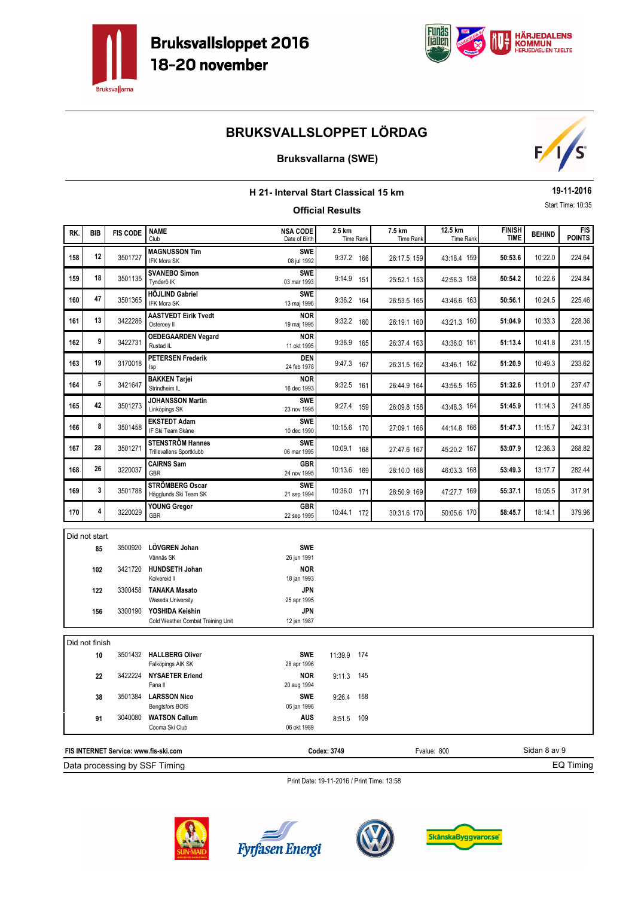



### **Bruksvallarna (SWE)**



| H 21- Interval Start Classical 15 km                                                                 |                      |                 |                                                              |                                          |                         |           |                            |                             |                              | 19-11-2016    |                             |
|------------------------------------------------------------------------------------------------------|----------------------|-----------------|--------------------------------------------------------------|------------------------------------------|-------------------------|-----------|----------------------------|-----------------------------|------------------------------|---------------|-----------------------------|
|                                                                                                      |                      |                 |                                                              |                                          | <b>Official Results</b> |           |                            |                             |                              |               | Start Time: 10:35           |
| RK.                                                                                                  | <b>BIB</b>           | <b>FIS CODE</b> | <b>NAME</b><br>Club                                          | <b>NSA CODE</b><br>Date of Birth         | 2.5 km                  | Time Rank | 7.5 km<br><b>Time Rank</b> | 12.5 km<br><b>Time Rank</b> | <b>FINISH</b><br><b>TIME</b> | <b>BEHIND</b> | <b>FIS</b><br><b>POINTS</b> |
| 158                                                                                                  | 12                   | 3501727         | <b>MAGNUSSON Tim</b><br><b>IFK Mora SK</b>                   | SWE<br>08 jul 1992                       | 9:37.2 166              |           | 26:17.5 159                | 43:18.4 159                 | 50:53.6                      | 10:22.0       | 224.64                      |
| 159                                                                                                  | 18                   | 3501135         | <b>SVANEBO Simon</b><br>Tynderö IK                           | SWF<br>03 mar 1993                       | 9:14.9 151              |           | 25:52.1 153                | 42:56.3 158                 | 50:54.2                      | 10:22.6       | 224.84                      |
| 160                                                                                                  | 47                   | 3501365         | <b>HÖJLIND Gabriel</b><br>IFK Mora SK                        | SWF<br>13 maj 1996                       | 9:36.2 164              |           | 26:53.5 165                | 43:46.6 163                 | 50:56.1                      | 10:24.5       | 225.46                      |
| 161                                                                                                  | 13                   | 3422286         | <b>AASTVEDT Eirik Tvedt</b><br>Osteroey II                   | <b>NOR</b><br>19 maj 1995                | 9:32.2 160              |           | 26:19.1 160                | 43:21.3 160                 | 51:04.9                      | 10:33.3       | 228.36                      |
| 162                                                                                                  | 9                    | 3422731         | <b>OEDEGAARDEN Vegard</b><br>Rustad IL                       | <b>NOR</b><br>11 okt 1995                | 9:36.9 165              |           | 26:37.4 163                | 43:36.0 161                 | 51:13.4                      | 10:41.8       | 231.15                      |
| 163                                                                                                  | 19                   | 3170018         | <b>PETERSEN Frederik</b><br>Isp                              | <b>DEN</b><br>24 feb 1978                | 9:47.3 167              |           | 26:31.5 162                | 43:46.1 162                 | 51:20.9                      | 10:49.3       | 233.62                      |
| 164                                                                                                  | 5                    | 3421647         | <b>BAKKEN Tarjei</b><br>Strindheim IL                        | <b>NOR</b><br>16 dec 1993                | 9:32.5 161              |           | 26:44.9 164                | 43:56.5 165                 | 51:32.6                      | 11:01.0       | 237.47                      |
| 165                                                                                                  | 42                   | 3501273         | <b>JOHANSSON Martin</b><br>Linköpings SK                     | SWE<br>23 nov 1995                       | 9:27.4 159              |           | 26:09.8 158                | 43:48.3 164                 | 51:45.9                      | 11:14.3       | 241.85                      |
| 166                                                                                                  | 8                    | 3501458         | <b>EKSTEDT Adam</b><br>IF Ski Team Skåne                     | <b>SWE</b><br>10 dec 1990                | 10:15.6 170             |           | 27:09.1 166                | 44:14.8 166                 | 51:47.3                      | 11:15.7       | 242.31                      |
| 167                                                                                                  | 28                   | 3501271         | <b>STENSTRÖM Hannes</b><br>Trillevallens Sportklubb          | <b>SWE</b><br>06 mar 1995                | 10:09.1 168             |           | 27:47.6 167                | 45:20.2 167                 | 53:07.9                      | 12:36.3       | 268.82                      |
| 168                                                                                                  | 26                   | 3220037         | <b>CAIRNS Sam</b><br><b>GBR</b>                              | GBR<br>24 nov 1995                       | 10:13.6 169             |           | 28:10.0 168                | 46:03.3 168                 | 53:49.3                      | 13:17.7       | 282.44                      |
| 169                                                                                                  | 3                    | 3501788         | STRÖMBERG Oscar<br>Hägglunds Ski Team SK                     | <b>SWE</b><br>21 sep 1994                | 10:36.0 171             |           | 28:50.9 169                | 47:27.7 169                 | 55:37.1                      | 15:05.5       | 317.91                      |
| 170                                                                                                  | 4                    | 3220029         | <b>YOUNG Gregor</b><br>GBR                                   | GBR<br>22 sep 1995                       | 10:44.1 172             |           | 30:31.6 170                | 50:05.6 170                 | 58:45.7                      | 18:14.1       | 379.96                      |
|                                                                                                      | Did not start        |                 |                                                              |                                          |                         |           |                            |                             |                              |               |                             |
|                                                                                                      | 85                   | 3500920         | LÖVGREN Johan                                                | SWE                                      |                         |           |                            |                             |                              |               |                             |
|                                                                                                      | 102                  |                 | Vännäs SK<br>3421720 HUNDSETH Johan<br>Kolvereid II          | 26 jun 1991<br><b>NOR</b><br>18 jan 1993 |                         |           |                            |                             |                              |               |                             |
|                                                                                                      | 122                  |                 | 3300458 TANAKA Masato<br>Waseda University                   | <b>JPN</b><br>25 apr 1995                |                         |           |                            |                             |                              |               |                             |
|                                                                                                      | 156                  |                 | 3300190 YOSHIDA Keishin<br>Cold Weather Combat Training Unit | JPN<br>12 jan 1987                       |                         |           |                            |                             |                              |               |                             |
|                                                                                                      |                      |                 |                                                              |                                          |                         |           |                            |                             |                              |               |                             |
|                                                                                                      | Did not finish<br>10 |                 | 3501432 HALLBERG Oliver                                      | <b>SWE</b>                               | 11:39.9 174             |           |                            |                             |                              |               |                             |
|                                                                                                      | 22                   | 3422224         | Falköpings AIK SK<br><b>NYSAETER Erlend</b>                  | 28 apr 1996<br>NOR                       | $9:11.3$ 145            |           |                            |                             |                              |               |                             |
|                                                                                                      | 38                   | 3501384         | Fana II<br><b>LARSSON Nico</b><br>Bengtsfors BOIS            | 20 aug 1994<br>SWE<br>05 jan 1996        | 9:26.4 158              |           |                            |                             |                              |               |                             |
|                                                                                                      | 91                   | 3040080         | <b>WATSON Callum</b><br>Cooma Ski Club                       | AUS<br>06 okt 1989                       | 8:51.5 109              |           |                            |                             |                              |               |                             |
|                                                                                                      |                      |                 |                                                              |                                          |                         |           |                            |                             |                              | Sidan 8 av 9  |                             |
| Codex: 3749<br>Fvalue: 800<br>FIS INTERNET Service: www.fis-ski.com<br>Data processing by SSF Timing |                      |                 |                                                              |                                          |                         | EQ Timing |                            |                             |                              |               |                             |